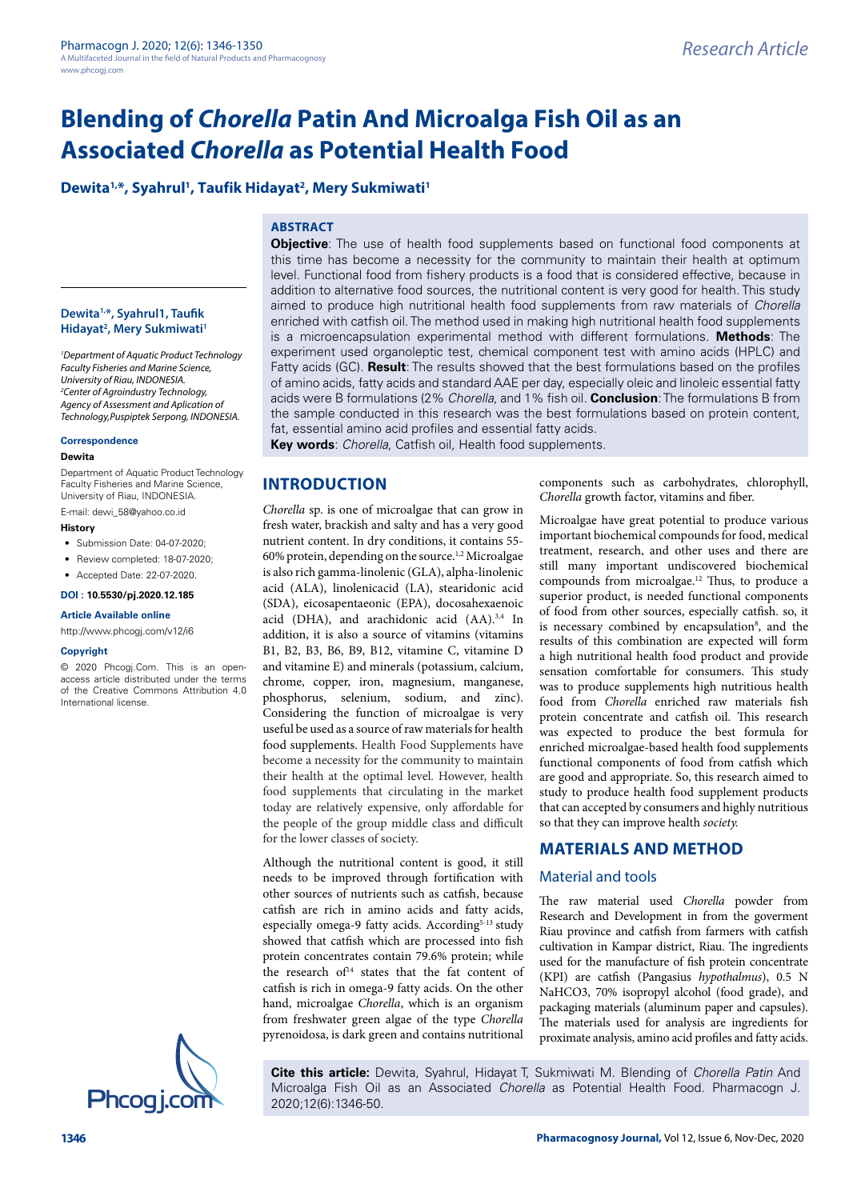# Dewita<sup>1,\*</sup>, Syahrul<sup>1</sup>, Taufik Hidayat<sup>2</sup>, Mery Sukmiwati<sup>1</sup>

# **ABSTRACT**

**Dewita1,\*, Syahrul1, Taufik Hidayat2 , Mery Sukmiwati1**

*1 Department of Aquatic Product Technology Faculty Fisheries and Marine Science, University of Riau, INDONESIA. 2 Center of Agroindustry Technology, Agency of Assessment and Aplication of Technology,Puspiptek Serpong, INDONESIA.*

#### **Correspondence**

#### **Dewita**

Department of Aquatic Product Technology Faculty Fisheries and Marine Science, University of Riau, INDONESIA.

E-mail: [dewi\\_58@yahoo.co.id](mailto:dewi_58@yahoo.co.id)

#### **History**

• Submission Date: 04-07-2020;

• Review completed: 18-07-2020;

## • Accepted Date: 22-07-2020. **DOI : 10.5530/pj.2020.12.185**

**Article Available online** 

#### <http://www.phcogj.com/v12/i6>

#### **Copyright**

© 2020 Phcogj.Com. This is an openaccess article distributed under the terms of the Creative Commons Attribution 4.0 International license.



**Objective**: The use of health food supplements based on functional food components at this time has become a necessity for the community to maintain their health at optimum level. Functional food from fishery products is a food that is considered effective, because in addition to alternative food sources, the nutritional content is very good for health. This study aimed to produce high nutritional health food supplements from raw materials of *Chorella* enriched with catfish oil. The method used in making high nutritional health food supplements is a microencapsulation experimental method with different formulations. **Methods**: The experiment used organoleptic test, chemical component test with amino acids (HPLC) and Fatty acids (GC). **Result**: The results showed that the best formulations based on the profiles of amino acids, fatty acids and standard AAE per day, especially oleic and linoleic essential fatty acids were B formulations (2% *Chorella*, and 1% fish oil. **Conclusion**: The formulations B from the sample conducted in this research was the best formulations based on protein content, fat, essential amino acid profiles and essential fatty acids.

**Key words**: *Chorella*, Catfish oil, Health food supplements.

# **INTRODUCTION**

*Chorella* sp. is one of microalgae that can grow in fresh water, brackish and salty and has a very good nutrient content. In dry conditions, it contains 55- 60% protein, depending on the source.1,2 Microalgae is also rich gamma-linolenic (GLA), alpha-linolenic acid (ALA), linolenicacid (LA), stearidonic acid (SDA), eicosapentaeonic (EPA), docosahexaenoic acid (DHA), and arachidonic acid (AA).3,4 In addition, it is also a source of vitamins (vitamins B1, B2, B3, B6, B9, B12, vitamine C, vitamine D and vitamine E) and minerals (potassium, calcium, chrome, copper, iron, magnesium, manganese, phosphorus, selenium, sodium, and zinc). Considering the function of microalgae is very useful be used as a source of raw materials for health food supplements. Health Food Supplements have become a necessity for the community to maintain their health at the optimal level. However, health food supplements that circulating in the market today are relatively expensive, only affordable for the people of the group middle class and difficult for the lower classes of society.

Although the nutritional content is good, it still needs to be improved through fortification with other sources of nutrients such as catfish, because catfish are rich in amino acids and fatty acids, especially omega-9 fatty acids. According<sup>5-13</sup> study showed that catfish which are processed into fish protein concentrates contain 79.6% protein; while the research of $14$  states that the fat content of catfish is rich in omega-9 fatty acids. On the other hand, microalgae *Chorella*, which is an organism from freshwater green algae of the type *Chorella* pyrenoidosa, is dark green and contains nutritional

components such as carbohydrates, chlorophyll, *Chorella* growth factor, vitamins and fiber.

Microalgae have great potential to produce various important biochemical compounds for food, medical treatment, research, and other uses and there are still many important undiscovered biochemical compounds from microalgae.12 Thus, to produce a superior product, is needed functional components of food from other sources, especially catfish. so, it is necessary combined by encapsulation<sup>8</sup>, and the results of this combination are expected will form a high nutritional health food product and provide sensation comfortable for consumers. This study was to produce supplements high nutritious health food from *Chorella* enriched raw materials fish protein concentrate and catfish oil. This research was expected to produce the best formula for enriched microalgae-based health food supplements functional components of food from catfish which are good and appropriate. So, this research aimed to study to produce health food supplement products that can accepted by consumers and highly nutritious so that they can improve health *society.*

## **MATERIALS AND METHOD**

#### Material and tools

The raw material used *Chorella* powder from Research and Development in from the goverment Riau province and catfish from farmers with catfish cultivation in Kampar district, Riau. The ingredients used for the manufacture of fish protein concentrate (KPI) are catfish (Pangasius *hypothalmus*), 0.5 N NaHCO3, 70% isopropyl alcohol (food grade), and packaging materials (aluminum paper and capsules). The materials used for analysis are ingredients for proximate analysis, amino acid profiles and fatty acids.

**Cite this article:** Dewita, Syahrul, Hidayat T, Sukmiwati M. Blending of *Chorella Patin* And Microalga Fish Oil as an Associated *Chorella* as Potential Health Food. Pharmacogn J.<br>2020;12(6):1346-50.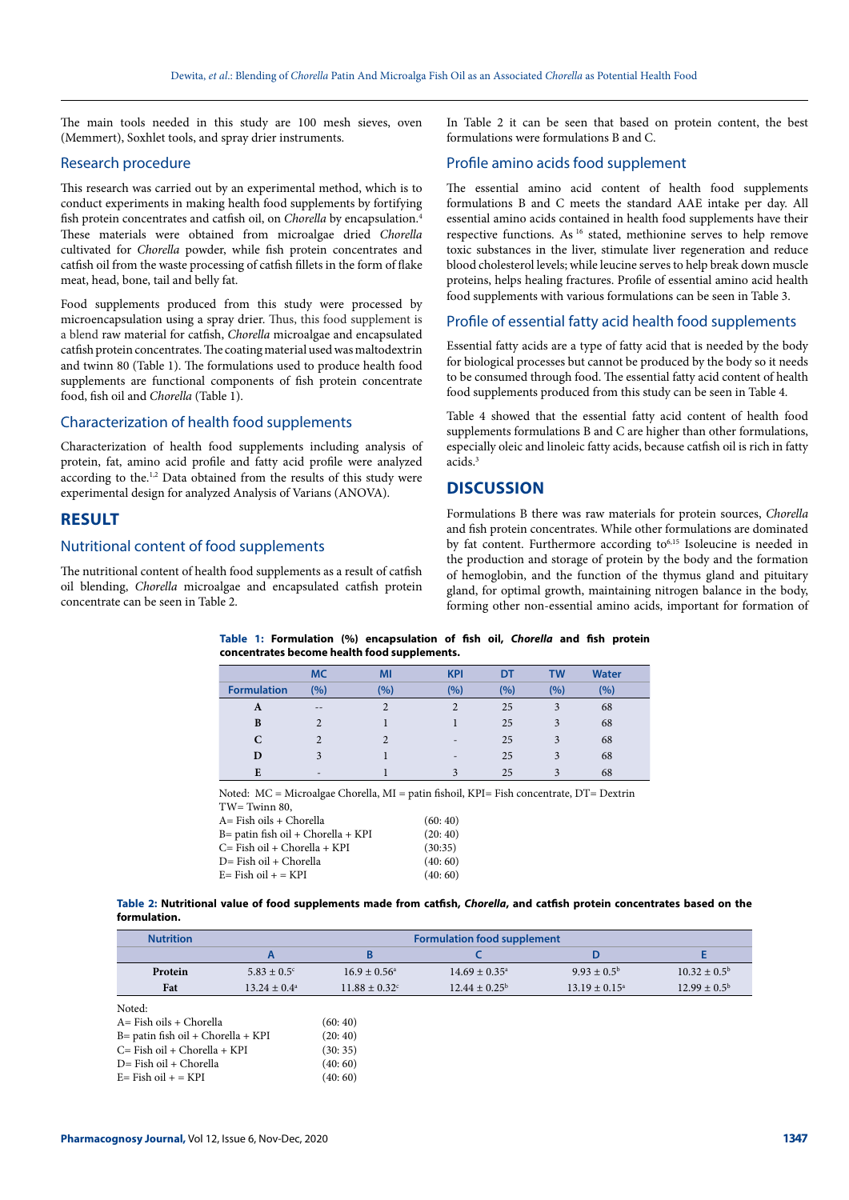The main tools needed in this study are 100 mesh sieves, oven (Memmert), Soxhlet tools, and spray drier instruments.

#### Research procedure

This research was carried out by an experimental method, which is to conduct experiments in making health food supplements by fortifying fish protein concentrates and catfish oil, on *Chorella* by encapsulation.4 These materials were obtained from microalgae dried *Chorella* cultivated for *Chorella* powder, while fish protein concentrates and catfish oil from the waste processing of catfish fillets in the form of flake meat, head, bone, tail and belly fat.

Food supplements produced from this study were processed by microencapsulation using a spray drier. Thus, this food supplement is a blend raw material for catfish, *Chorella* microalgae and encapsulated catfish protein concentrates. The coating material used was maltodextrin and twinn 80 (Table 1). The formulations used to produce health food supplements are functional components of fish protein concentrate food, fish oil and *Chorella* (Table 1).

# Characterization of health food supplements

Characterization of health food supplements including analysis of protein, fat, amino acid profile and fatty acid profile were analyzed according to the.<sup>1,2</sup> Data obtained from the results of this study were experimental design for analyzed Analysis of Varians (ANOVA).

# **RESULT**

#### Nutritional content of food supplements

The nutritional content of health food supplements as a result of catfish oil blending, *Chorella* microalgae and encapsulated catfish protein concentrate can be seen in Table 2.

In Table 2 it can be seen that based on protein content, the best formulations were formulations B and C.

## Profile amino acids food supplement

The essential amino acid content of health food supplements formulations B and C meets the standard AAE intake per day. All essential amino acids contained in health food supplements have their respective functions. As <sup>16</sup> stated, methionine serves to help remove toxic substances in the liver, stimulate liver regeneration and reduce blood cholesterol levels; while leucine serves to help break down muscle proteins, helps healing fractures. Profile of essential amino acid health food supplements with various formulations can be seen in Table 3.

#### Profile of essential fatty acid health food supplements

Essential fatty acids are a type of fatty acid that is needed by the body for biological processes but cannot be produced by the body so it needs to be consumed through food. The essential fatty acid content of health food supplements produced from this study can be seen in Table 4.

Table 4 showed that the essential fatty acid content of health food supplements formulations B and C are higher than other formulations, especially oleic and linoleic fatty acids, because catfish oil is rich in fatty acids.3

## **DISCUSSION**

Formulations B there was raw materials for protein sources, *Chorella* and fish protein concentrates. While other formulations are dominated by fat content. Furthermore according to<sup>6,15</sup> Isoleucine is needed in the production and storage of protein by the body and the formation of hemoglobin, and the function of the thymus gland and pituitary gland, for optimal growth, maintaining nitrogen balance in the body, forming other non-essential amino acids, important for formation of

**Table 1: Formulation (%) encapsulation of fish oil,** *Chorella* **and fish protein concentrates become health food supplements.**

|                    | <b>MC</b>                | MI  | <b>KPI</b>               | DT  | TW  | <b>Water</b> |  |
|--------------------|--------------------------|-----|--------------------------|-----|-----|--------------|--|
| <b>Formulation</b> | (%)                      | (%) | (9/6)                    | (%) | (%) | (9/0)        |  |
| A                  | $- -$                    |     | ↑                        | 25  |     | 68           |  |
| B                  |                          |     |                          | 25  | 3   | 68           |  |
| C                  |                          | C   | $\overline{\phantom{a}}$ | 25  | 3   | 68           |  |
| D                  | 3                        |     | $\overline{\phantom{0}}$ | 25  | 3   | 68           |  |
| E                  | $\overline{\phantom{a}}$ |     |                          | 25  |     | 68           |  |

Noted: MC = Microalgae Chorella, MI = patin fishoil, KPI= Fish concentrate, DT= Dextrin TW= Twinn 80,

| A= Fish oils + Chorella            | (60:40) |
|------------------------------------|---------|
| B= patin fish oil + Chorella + KPI | (20:40) |
| C= Fish oil + Chorella + KPI       | (30:35) |
| D= Fish oil + Chorella             | (40:60) |
| E= Fish oil + = KPI                | (40:60) |
|                                    |         |

**Table 2: Nutritional value of food supplements made from catfish,** *Chorella***, and catfish protein concentrates based on the formulation.**

| <b>Nutrition</b>                  | <b>Formulation food supplement</b> |                               |                          |                          |                         |  |
|-----------------------------------|------------------------------------|-------------------------------|--------------------------|--------------------------|-------------------------|--|
|                                   |                                    |                               |                          |                          |                         |  |
| Protein                           | $5.83 \pm 0.5$ °                   | $16.9 \pm 0.56^{\circ}$       | $14.69 \pm 0.35^{\circ}$ | $9.93 \pm 0.5^{\rm b}$   | $10.32 \pm 0.5^{\rm b}$ |  |
| Fat                               | $13.24 \pm 0.4^{\circ}$            | $11.88 \pm 0.32$ <sup>c</sup> | $12.44 \pm 0.25^{\circ}$ | $13.19 \pm 0.15^{\circ}$ | $12.99 \pm 0.5^{\rm b}$ |  |
| Noted:<br>A= Fish oils + Chorella |                                    | (60:40)                       |                          |                          |                         |  |

| A= Fish oils + Chorella              | (60:40) |
|--------------------------------------|---------|
| $B=$ patin fish oil + Chorella + KPI | (20:40) |
| C= Fish oil + Chorella + KPI         | (30:35) |
| $D = Fish$ oil + Chorella            | (40:60) |
| $E = Fish oil + = KPI$               | (40:60) |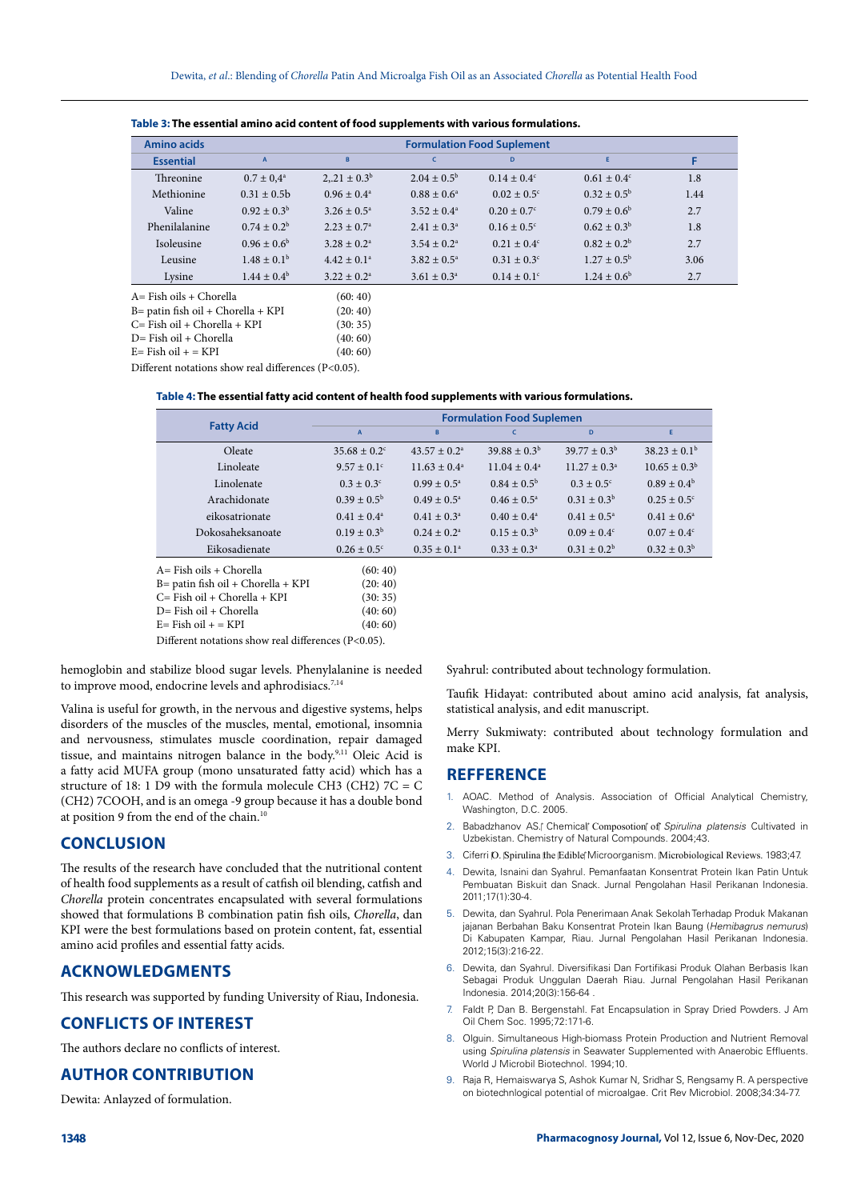|                                       | Amino acids      | <b>Formulation Food Suplement</b> |                           |                        |                             |                        |      |  |
|---------------------------------------|------------------|-----------------------------------|---------------------------|------------------------|-----------------------------|------------------------|------|--|
|                                       | <b>Essential</b> | $\overline{A}$                    | B                         | $\epsilon$             | D                           | Ë                      | F    |  |
|                                       | <b>Threonine</b> | $0.7 \pm 0.4^{\rm a}$             | $2,21 \pm 0.3^b$          | $2.04 \pm 0.5^{\rm b}$ | $0.14 \pm 0.4^c$            | $0.61 \pm 0.4^c$       | 1.8  |  |
|                                       | Methionine       | $0.31 \pm 0.5b$                   | $0.96 \pm 0.4^{\circ}$    | $0.88 \pm 0.6^{\circ}$ | $0.02 \pm 0.5$ <sup>c</sup> | $0.32 \pm 0.5^{\rm b}$ | 1.44 |  |
|                                       | Valine           | $0.92 \pm 0.3^{\rm b}$            | $3.26 \pm 0.5^{\circ}$    | $3.52 \pm 0.4^{\circ}$ | $0.20 \pm 0.7$ °            | $0.79 \pm 0.6^{\rm b}$ | 2.7  |  |
|                                       | Phenilalanine    | $0.74 \pm 0.2^b$                  | $2.23 \pm 0.7^{\circ}$    | $2.41 \pm 0.3^{\circ}$ | $0.16 \pm 0.5$ <sup>c</sup> | $0.62 \pm 0.3^{\rm b}$ | 1.8  |  |
|                                       | Isoleusine       | $0.96 \pm 0.6^{\rm b}$            | $3.28 \pm 0.2^{\text{a}}$ | $3.54 \pm 0.2^{\circ}$ | $0.21 \pm 0.4^{\circ}$      | $0.82 \pm 0.2^b$       | 2.7  |  |
|                                       | Leusine          | $1.48 \pm 0.1^{\rm b}$            | $4.42 \pm 0.1^a$          | $3.82 \pm 0.5^{\circ}$ | $0.31 \pm 0.3^{\circ}$      | $1.27 \pm 0.5^{\rm b}$ | 3.06 |  |
|                                       | Lysine           | $1.44 \pm 0.4^{\rm b}$            | $3.22 + 0.2^a$            | $3.61 \pm 0.3^{\circ}$ | $0.14 \pm 0.1^{\circ}$      | $1.24 \pm 0.6^{\rm b}$ | 2.7  |  |
| $A = Fish oils + Chorella$            |                  | (60:40)                           |                           |                        |                             |                        |      |  |
| $B =$ patin fish oil + Chorella + KPI |                  | (20:40)                           |                           |                        |                             |                        |      |  |
| $C = Fish$ oil + Chorella + KPI       |                  | (30:35)                           |                           |                        |                             |                        |      |  |
| D-Eich oil + Chorolla                 |                  | (10, 60)                          |                           |                        |                             |                        |      |  |

| Table 3: The essential amino acid content of food supplements with various formulations. |  |
|------------------------------------------------------------------------------------------|--|
|------------------------------------------------------------------------------------------|--|

 $D=$  Fish oil + Chorella

 $E = Fish oil + = KPI$  (40: 60)

Different notations show real differences (P<0.05).

|  | Table 4: The essential fatty acid content of health food supplements with various formulations. |
|--|-------------------------------------------------------------------------------------------------|
|--|-------------------------------------------------------------------------------------------------|

|                         | <b>Formulation Food Suplemen</b> |                           |                         |                         |                             |  |
|-------------------------|----------------------------------|---------------------------|-------------------------|-------------------------|-----------------------------|--|
| <b>Fatty Acid</b>       | $\overline{A}$                   | B                         | $\mathsf{C}$            | D                       | E.                          |  |
| Oleate                  | $35.68 \pm 0.2$ <sup>c</sup>     | $43.57 \pm 0.2^{\circ}$   | $39.88 + 0.3b$          | $39.77 \pm 0.3^{\rm b}$ | $38.23 \pm 0.1^{\rm b}$     |  |
| Linoleate               | $9.57 \pm 0.1$ °                 | $11.63 \pm 0.4^{\circ}$   | $11.04 \pm 0.4^{\circ}$ | $11.27 \pm 0.3^{\circ}$ | $10.65 \pm 0.3^{\rm b}$     |  |
| Linolenate              | $0.3 \pm 0.3$ <sup>c</sup>       | $0.99 \pm 0.5^{\circ}$    | $0.84 \pm 0.5^{\rm b}$  | $0.3 \pm 0.5^{\circ}$   | $0.89 \pm 0.4^{\rm b}$      |  |
| Arachidonate            | $0.39 \pm 0.5^{\rm b}$           | $0.49 \pm 0.5^{\circ}$    | $0.46 \pm 0.5^{\circ}$  | $0.31 \pm 0.3^b$        | $0.25 \pm 0.5$ <sup>c</sup> |  |
| eikosatrionate          | $0.41 \pm 0.4^a$                 | $0.41 \pm 0.3^{\circ}$    | $0.40 \pm 0.4^{\circ}$  | $0.41 \pm 0.5^{\circ}$  | $0.41 \pm 0.6^{\circ}$      |  |
| Dokosaheksanoate        | $0.19 \pm 0.3^b$                 | $0.24 \pm 0.2^{\text{a}}$ | $0.15 \pm 0.3^b$        | $0.09 \pm 0.4^{\circ}$  | $0.07 \pm 0.4^{\circ}$      |  |
| Eikosadienate           | $0.26 \pm 0.5$ <sup>c</sup>      | $0.35 \pm 0.1^{\circ}$    | $0.33 \pm 0.3^{\circ}$  | $0.31 \pm 0.2^b$        | $0.32 \pm 0.3^b$            |  |
| A= Fish oils + Chorella | (60:40)                          |                           |                         |                         |                             |  |

B= patin fish oil + Chorella + KPI (20: 40)<br>  $C =$  Fish oil + Chorella + KPI (30: 35)  $C = Fish$  oil + Chorella + KPI  $D=$  Fish oil + Chorella (40: 60)<br>  $E=$  Fish oil + = KPI (40: 60)  $E=$  Fish oil  $+$  = KPI

Different notations show real differences (P<0.05).

hemoglobin and stabilize blood sugar levels. Phenylalanine is needed to improve mood, endocrine levels and aphrodisiacs.<sup>7,14</sup>

Valina is useful for growth, in the nervous and digestive systems, helps disorders of the muscles of the muscles, mental, emotional, insomnia and nervousness, stimulates muscle coordination, repair damaged tissue, and maintains nitrogen balance in the body.<sup>9,11</sup> Oleic Acid is a fatty acid MUFA group (mono unsaturated fatty acid) which has a structure of 18: 1 D9 with the formula molecule CH3 (CH2) 7C = C (CH2) 7COOH, and is an omega -9 group because it has a double bond at position 9 from the end of the chain.<sup>10</sup>

#### **CONCLUSION**

The results of the research have concluded that the nutritional content of health food supplements as a result of catfish oil blending, catfish and *Chorella* protein concentrates encapsulated with several formulations showed that formulations B combination patin fish oils, *Chorella*, dan KPI were the best formulations based on protein content, fat, essential amino acid profiles and essential fatty acids.

# **ACKNOWLEDGMENTS**

This research was supported by funding University of Riau, Indonesia.

## **CONFLICTS OF INTEREST**

The authors declare no conflicts of interest.

## **AUTHOR CONTRIBUTION**

Dewita: Anlayzed of formulation.

Syahrul: contributed about technology formulation.

Taufik Hidayat: contributed about amino acid analysis, fat analysis, statistical analysis, and edit manuscript.

Merry Sukmiwaty: contributed about technology formulation and make KPI.

#### **REFFERENCE**

- 1. AOAC. Method of Analysis. Association of Official Analytical Chemistry, Washington, D.C. 2005.
- 2. Babadzhanov AS.<sup>®</sup> Chemical<sup>®</sup> Composotion<sup>®</sup> of *Spirulina platensis* Cultivated in Uzbekistan. Chemistry of Natural Compounds. 2004;43.
- Ciferri O. Spirulina the Edible Microorganism. Microbiological Reviews. 1983;47.
- 4. Dewita, Isnaini dan Syahrul. Pemanfaatan Konsentrat Protein Ikan Patin Untuk Pembuatan Biskuit dan Snack. Jurnal Pengolahan Hasil Perikanan Indonesia. 2011;17(1):30-4.
- 5. Dewita, dan Syahrul. Pola Penerimaan Anak Sekolah Terhadap Produk Makanan jajanan Berbahan Baku Konsentrat Protein Ikan Baung (*Hemibagrus nemurus*) Di Kabupaten Kampar, Riau. Jurnal Pengolahan Hasil Perikanan Indonesia. 2012;15(3):216-22.
- 6. Dewita, dan Syahrul. Diversifikasi Dan Fortifikasi Produk Olahan Berbasis Ikan Sebagai Produk Unggulan Daerah Riau. Jurnal Pengolahan Hasil Perikanan Indonesia. 2014;20(3):156-64 .
- 7. Faldt P, Dan B. Bergenstahl. Fat Encapsulation in Spray Dried Powders. J Am Oil Chem Soc. 1995;72:171-6.
- 8. Olguin. Simultaneous High-biomass Protein Production and Nutrient Removal using *Spirulina platensis* in Seawater Supplemented with Anaerobic Effluents. World J Microbil Biotechnol. 1994;10.
- 9. Raja R, Hemaiswarya S, Ashok Kumar N, Sridhar S, Rengsamy R. A perspective on biotechnlogical potential of microalgae. Crit Rev Microbiol. 2008;34:34-77.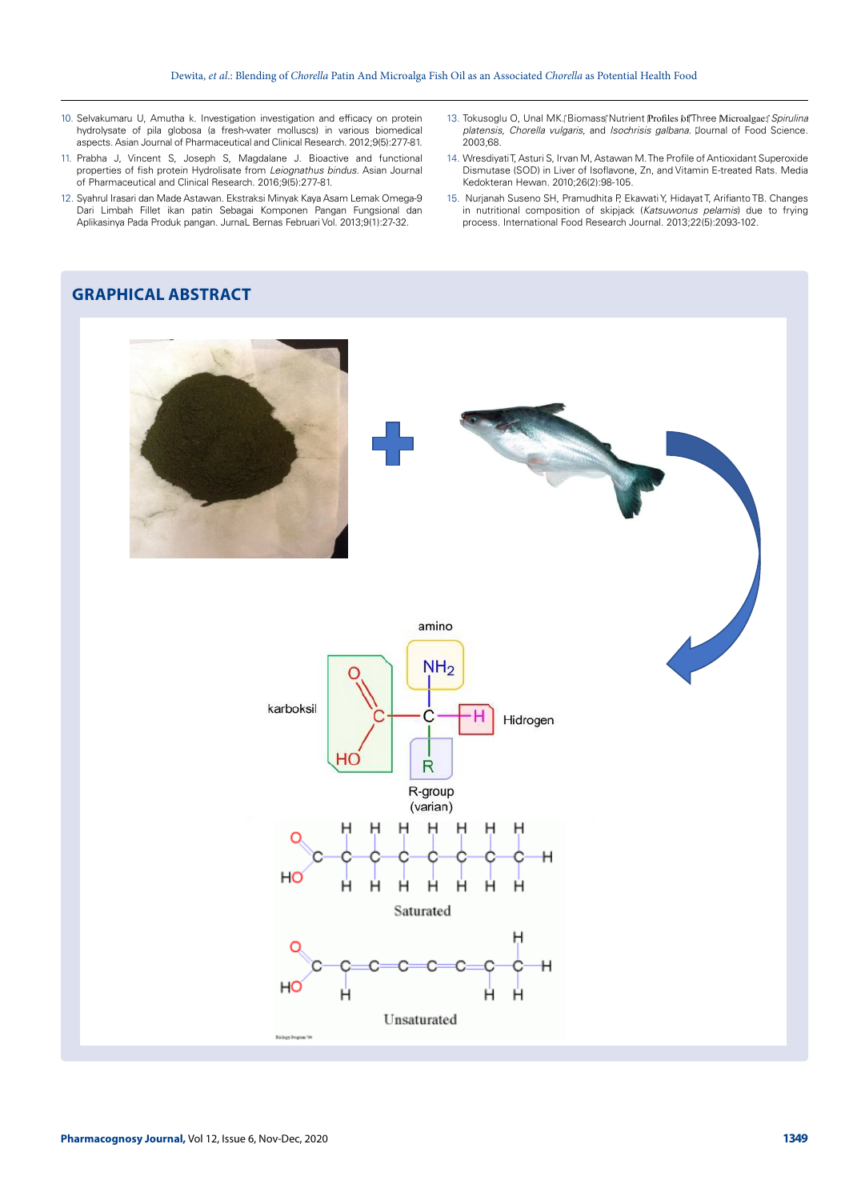- 10. Selvakumaru U, Amutha k. Investigation investigation and efficacy on protein hydrolysate of pila globosa (a fresh-water molluscs) in various biomedical aspects. Asian Journal of Pharmaceutical and Clinical Research. 2012;9(5):277-81.
- 11. Prabha J, Vincent S, Joseph S, Magdalane J. Bioactive and functional properties of fish protein Hydrolisate from *Leiognathus bindus*. Asian Journal of Pharmaceutical and Clinical Research. 2016;9(5):277-81.
- 12. Syahrul Irasari dan Made Astawan. Ekstraksi Minyak Kaya Asam Lemak Omega-9 Dari Limbah Fillet ikan patin Sebagai Komponen Pangan Fungsional dan Aplikasinya Pada Produk pangan. JurnaL Bernas Februari Vol. 2013;9(1):27-32.
- 13. Tokusoglu O, Unal MK.<sup>®</sup> Biomass<sup>®</sup> Nutrient Profiles <sup>6</sup>f Three Microalgae:<sup>®</sup> Spirulina *platensis*, *Chorella vulgaris*, and *Isochrisis galbana*. Journal of Food Science*.*  2003*;*68.
- 14. Wresdiyati T, Asturi S, Irvan M, Astawan M. The Profile of Antioxidant Superoxide Dismutase (SOD) in Liver of Isoflavone, Zn, and Vitamin E-treated Rats. Media Kedokteran Hewan. 2010;26(2):98-105.
- 15. Nurjanah Suseno SH, Pramudhita P, Ekawati Y, Hidayat T, Arifianto TB. Changes in nutritional composition of skipjack (*Katsuwonus pelamis*) due to frying process. International Food Research Journal. 2013;22(5):2093-102.

# **GRAPHICAL ABSTRACT**